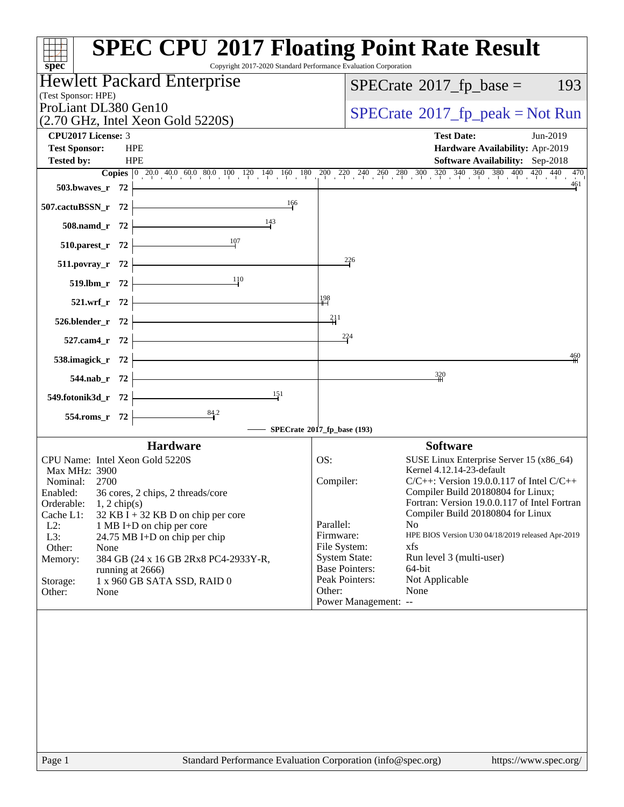| $spec^*$                                                                         | <b>SPEC CPU®2017 Floating Point Rate Result</b><br>Copyright 2017-2020 Standard Performance Evaluation Corporation                                                                       |
|----------------------------------------------------------------------------------|------------------------------------------------------------------------------------------------------------------------------------------------------------------------------------------|
| <b>Hewlett Packard Enterprise</b><br>(Test Sponsor: HPE)                         | $SPECTate$ <sup>®</sup> 2017_fp_base =<br>193                                                                                                                                            |
| ProLiant DL380 Gen10                                                             | $SPECTate@2017fr peak = Not Run$                                                                                                                                                         |
| $(2.70 \text{ GHz}, \text{Intel Xeon Gold } 5220\text{S})$<br>CPU2017 License: 3 | <b>Test Date:</b><br>Jun-2019                                                                                                                                                            |
| <b>Test Sponsor:</b><br><b>HPE</b><br><b>Tested by:</b><br><b>HPE</b>            | Hardware Availability: Apr-2019<br><b>Software Availability:</b> Sep-2018                                                                                                                |
|                                                                                  | <b>Copies</b> $\begin{bmatrix} 0 & 20.0 & 40.0 & 60.0 & 80.0 & 100 & 120 & 140 & 160 & 180 & 200 & 240 & 260 & 280 & 300 & 320 & 340 & 360 & 380 & 400 & 420 & 470 \end{bmatrix}$<br>461 |
| 503.bwaves_r 72<br>166                                                           |                                                                                                                                                                                          |
| 507.cactuBSSN_r 72<br>$\frac{143}{2}$                                            |                                                                                                                                                                                          |
| $508$ .namd_r 72<br>$\frac{107}{10}$<br>510.parest_r 72                          |                                                                                                                                                                                          |
| <u> 1989 - Johann Barbara, martxa a</u><br>511.povray_r 72                       | $^{226}$                                                                                                                                                                                 |
| $\frac{11}{10}$<br>$519.$ lbm_r 72 $\vert$                                       |                                                                                                                                                                                          |
|                                                                                  | 198                                                                                                                                                                                      |
| $521.wrf_r$ 72<br>$526.blender_r$ 72                                             | $\frac{211}{1}$                                                                                                                                                                          |
| 527.cam4_r 72 $\vert$                                                            | 224                                                                                                                                                                                      |
| 538.imagick_r $72$ $\overline{\phantom{1}}$                                      | 460                                                                                                                                                                                      |
| 544.nab_r 72 $\vert$                                                             | 320                                                                                                                                                                                      |
| $\frac{151}{2}$<br>549.fotonik3d_r $72$                                          |                                                                                                                                                                                          |
| $554$ .roms_r 72                                                                 |                                                                                                                                                                                          |
|                                                                                  | SPECrate®2017_fp_base (193)                                                                                                                                                              |
| <b>Hardware</b>                                                                  | <b>Software</b>                                                                                                                                                                          |
| CPU Name: Intel Xeon Gold 5220S<br>Max MHz: 3900                                 | OS:<br>SUSE Linux Enterprise Server 15 (x86_64)<br>Kernel 4.12.14-23-default                                                                                                             |
| Nominal: 2700                                                                    | Compiler:<br>$C/C++$ : Version 19.0.0.117 of Intel $C/C++$                                                                                                                               |
| 36 cores, 2 chips, 2 threads/core<br>Enabled:<br>Orderable:<br>$1, 2$ chip(s)    | Compiler Build 20180804 for Linux;<br>Fortran: Version 19.0.0.117 of Intel Fortran                                                                                                       |
| Cache L1:<br>$32$ KB I + 32 KB D on chip per core                                | Compiler Build 20180804 for Linux                                                                                                                                                        |
| $L2$ :<br>1 MB I+D on chip per core                                              | Parallel:<br>N <sub>o</sub><br>HPE BIOS Version U30 04/18/2019 released Apr-2019                                                                                                         |
| L3:<br>24.75 MB I+D on chip per chip<br>Other:<br>None                           | Firmware:<br>File System:<br>xfs                                                                                                                                                         |
| 384 GB (24 x 16 GB 2Rx8 PC4-2933Y-R,<br>Memory:                                  | <b>System State:</b><br>Run level 3 (multi-user)                                                                                                                                         |
| running at 2666)                                                                 | <b>Base Pointers:</b><br>64-bit                                                                                                                                                          |
| 1 x 960 GB SATA SSD, RAID 0<br>Storage:                                          | Peak Pointers:<br>Not Applicable                                                                                                                                                         |
| Other:<br>None                                                                   | None<br>Other:<br>Power Management: --                                                                                                                                                   |
|                                                                                  |                                                                                                                                                                                          |
| Page 1                                                                           | Standard Performance Evaluation Corporation (info@spec.org)<br>https://www.spec.org/                                                                                                     |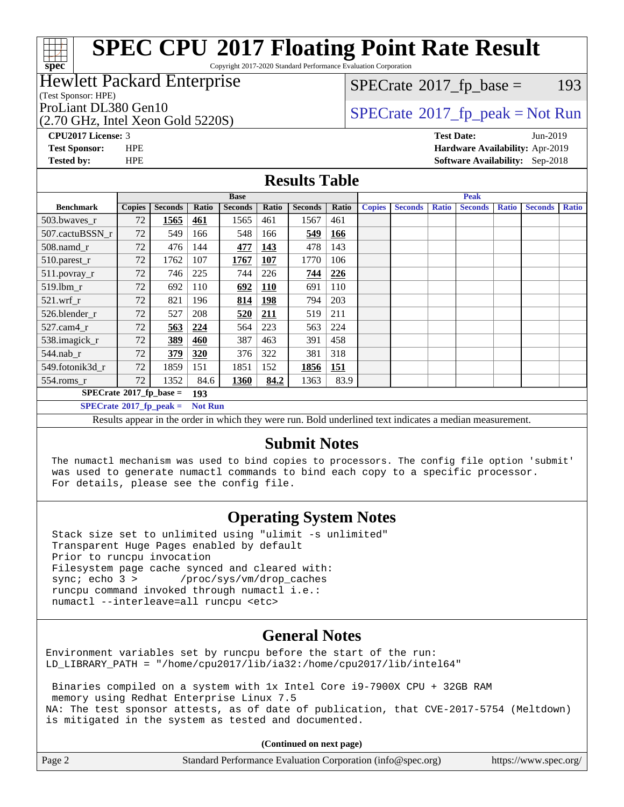# **[spec](http://www.spec.org/)**

# **[SPEC CPU](http://www.spec.org/auto/cpu2017/Docs/result-fields.html#SPECCPU2017FloatingPointRateResult)[2017 Floating Point Rate Result](http://www.spec.org/auto/cpu2017/Docs/result-fields.html#SPECCPU2017FloatingPointRateResult)**

Copyright 2017-2020 Standard Performance Evaluation Corporation

#### Hewlett Packard Enterprise

(Test Sponsor: HPE)

(2.70 GHz, Intel Xeon Gold 5220S)

 $SPECTate@2017_fp\_base = 193$ 

## ProLiant DL380 Gen10<br>  $\begin{array}{c}\n\text{SPECrate} \textcircled{2017\_fp\_peak} = \text{Not Run} \\
\text{PDCHz Intel Yes} = \text{Sol} \text{5220S}\n\end{array}$  $\begin{array}{c}\n\text{SPECrate} \textcircled{2017\_fp\_peak} = \text{Not Run} \\
\text{PDCHz Intel Yes} = \text{Sol} \text{5220S}\n\end{array}$  $\begin{array}{c}\n\text{SPECrate} \textcircled{2017\_fp\_peak} = \text{Not Run} \\
\text{PDCHz Intel Yes} = \text{Sol} \text{5220S}\n\end{array}$

**[CPU2017 License:](http://www.spec.org/auto/cpu2017/Docs/result-fields.html#CPU2017License)** 3 **[Test Date:](http://www.spec.org/auto/cpu2017/Docs/result-fields.html#TestDate)** Jun-2019 **[Test Sponsor:](http://www.spec.org/auto/cpu2017/Docs/result-fields.html#TestSponsor)** HPE **[Hardware Availability:](http://www.spec.org/auto/cpu2017/Docs/result-fields.html#HardwareAvailability)** Apr-2019 **[Tested by:](http://www.spec.org/auto/cpu2017/Docs/result-fields.html#Testedby)** HPE **[Software Availability:](http://www.spec.org/auto/cpu2017/Docs/result-fields.html#SoftwareAvailability)** Sep-2018

#### **[Results Table](http://www.spec.org/auto/cpu2017/Docs/result-fields.html#ResultsTable)**

|                                               | <b>Base</b>   |                |                |                |            | <b>Peak</b>    |       |               |                |              |                |              |                |              |
|-----------------------------------------------|---------------|----------------|----------------|----------------|------------|----------------|-------|---------------|----------------|--------------|----------------|--------------|----------------|--------------|
| <b>Benchmark</b>                              | <b>Copies</b> | <b>Seconds</b> | Ratio          | <b>Seconds</b> | Ratio      | <b>Seconds</b> | Ratio | <b>Copies</b> | <b>Seconds</b> | <b>Ratio</b> | <b>Seconds</b> | <b>Ratio</b> | <b>Seconds</b> | <b>Ratio</b> |
| 503.bwayes_r                                  | 72            | 1565           | 461            | 1565           | 461        | 1567           | 461   |               |                |              |                |              |                |              |
| 507.cactuBSSN r                               | 72            | 549            | 166            | 548            | 166        | 549            | 166   |               |                |              |                |              |                |              |
| $508$ .namd_r                                 | 72            | 476            | 144            | 477            | <u>143</u> | 478            | 143   |               |                |              |                |              |                |              |
| 510.parest_r                                  | 72            | 1762           | 107            | 1767           | <b>107</b> | 1770           | 106   |               |                |              |                |              |                |              |
| 511.povray_r                                  | 72            | 746            | 225            | 744            | 226        | 744            | 226   |               |                |              |                |              |                |              |
| $519$ .lbm $r$                                | 72            | 692            | 110            | 692            | <b>110</b> | 691            | 110   |               |                |              |                |              |                |              |
| $521$ .wrf r                                  | 72            | 821            | 196            | 814            | <b>198</b> | 794            | 203   |               |                |              |                |              |                |              |
| 526.blender r                                 | 72            | 527            | 208            | 520            | 211        | 519            | 211   |               |                |              |                |              |                |              |
| $527$ .cam $4r$                               | 72            | 563            | <u>224</u>     | 564            | 223        | 563            | 224   |               |                |              |                |              |                |              |
| 538.imagick_r                                 | 72            | 389            | 460            | 387            | 463        | 391            | 458   |               |                |              |                |              |                |              |
| $544$ .nab r                                  | 72            | 379            | 320            | 376            | 322        | 381            | 318   |               |                |              |                |              |                |              |
| 549.fotonik3d r                               | 72            | 1859           | 151            | 1851           | 152        | 1856           | 151   |               |                |              |                |              |                |              |
| $554$ .roms $r$                               | 72            | 1352           | 84.6           | 1360           | 84.2       | 1363           | 83.9  |               |                |              |                |              |                |              |
| $SPECrate$ <sup>®</sup> 2017_fp_base =<br>193 |               |                |                |                |            |                |       |               |                |              |                |              |                |              |
| $SPECrate^{\circ}2017$ fp peak =              |               |                | <b>Not Run</b> |                |            |                |       |               |                |              |                |              |                |              |

Results appear in the [order in which they were run.](http://www.spec.org/auto/cpu2017/Docs/result-fields.html#RunOrder) Bold underlined text [indicates a median measurement.](http://www.spec.org/auto/cpu2017/Docs/result-fields.html#Median)

#### **[Submit Notes](http://www.spec.org/auto/cpu2017/Docs/result-fields.html#SubmitNotes)**

 The numactl mechanism was used to bind copies to processors. The config file option 'submit' was used to generate numactl commands to bind each copy to a specific processor. For details, please see the config file.

### **[Operating System Notes](http://www.spec.org/auto/cpu2017/Docs/result-fields.html#OperatingSystemNotes)**

 Stack size set to unlimited using "ulimit -s unlimited" Transparent Huge Pages enabled by default Prior to runcpu invocation Filesystem page cache synced and cleared with: sync; echo 3 > /proc/sys/vm/drop\_caches runcpu command invoked through numactl i.e.: numactl --interleave=all runcpu <etc>

### **[General Notes](http://www.spec.org/auto/cpu2017/Docs/result-fields.html#GeneralNotes)**

Environment variables set by runcpu before the start of the run: LD\_LIBRARY\_PATH = "/home/cpu2017/lib/ia32:/home/cpu2017/lib/intel64"

 Binaries compiled on a system with 1x Intel Core i9-7900X CPU + 32GB RAM memory using Redhat Enterprise Linux 7.5 NA: The test sponsor attests, as of date of publication, that CVE-2017-5754 (Meltdown) is mitigated in the system as tested and documented.

**(Continued on next page)**

| Page 2 | Standard Performance Evaluation Corporation (info@spec.org) | https://www.spec.org/ |
|--------|-------------------------------------------------------------|-----------------------|
|--------|-------------------------------------------------------------|-----------------------|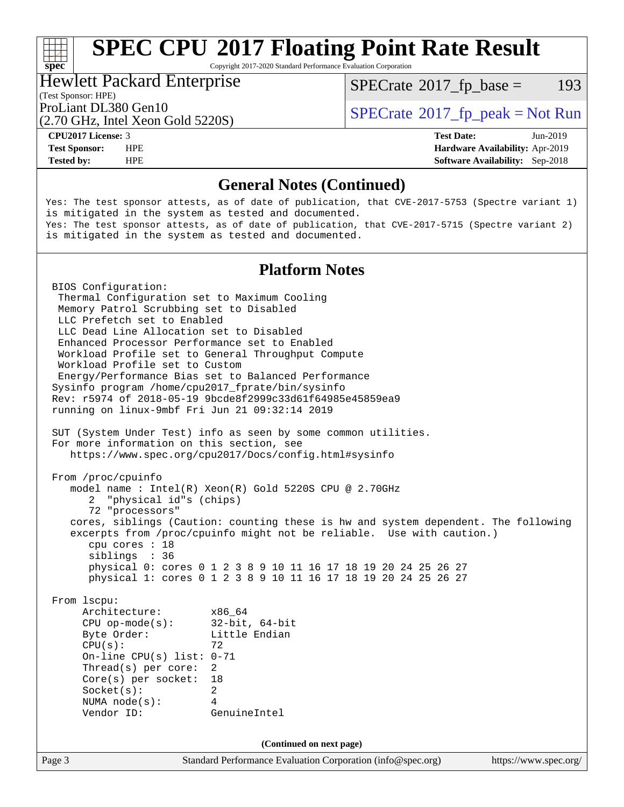Copyright 2017-2020 Standard Performance Evaluation Corporation

#### Hewlett Packard Enterprise

(Test Sponsor: HPE)

 $SPECTate@2017_fp\_base = 193$ 

(2.70 GHz, Intel Xeon Gold 5220S)

ProLiant DL380 Gen10  $SPECTA 5220S$   $SCHA 5220S$   $SCHB 5220S$ 

**[spec](http://www.spec.org/)**<sup>®</sup>

**[Tested by:](http://www.spec.org/auto/cpu2017/Docs/result-fields.html#Testedby)** HPE **[Software Availability:](http://www.spec.org/auto/cpu2017/Docs/result-fields.html#SoftwareAvailability)** Sep-2018

**[CPU2017 License:](http://www.spec.org/auto/cpu2017/Docs/result-fields.html#CPU2017License)** 3 **[Test Date:](http://www.spec.org/auto/cpu2017/Docs/result-fields.html#TestDate)** Jun-2019 **[Test Sponsor:](http://www.spec.org/auto/cpu2017/Docs/result-fields.html#TestSponsor)** HPE **[Hardware Availability:](http://www.spec.org/auto/cpu2017/Docs/result-fields.html#HardwareAvailability)** Apr-2019

#### **[General Notes \(Continued\)](http://www.spec.org/auto/cpu2017/Docs/result-fields.html#GeneralNotes)**

Yes: The test sponsor attests, as of date of publication, that CVE-2017-5753 (Spectre variant 1) is mitigated in the system as tested and documented. Yes: The test sponsor attests, as of date of publication, that CVE-2017-5715 (Spectre variant 2) is mitigated in the system as tested and documented.

#### **[Platform Notes](http://www.spec.org/auto/cpu2017/Docs/result-fields.html#PlatformNotes)**

Page 3 Standard Performance Evaluation Corporation [\(info@spec.org\)](mailto:info@spec.org) <https://www.spec.org/> BIOS Configuration: Thermal Configuration set to Maximum Cooling Memory Patrol Scrubbing set to Disabled LLC Prefetch set to Enabled LLC Dead Line Allocation set to Disabled Enhanced Processor Performance set to Enabled Workload Profile set to General Throughput Compute Workload Profile set to Custom Energy/Performance Bias set to Balanced Performance Sysinfo program /home/cpu2017\_fprate/bin/sysinfo Rev: r5974 of 2018-05-19 9bcde8f2999c33d61f64985e45859ea9 running on linux-9mbf Fri Jun 21 09:32:14 2019 SUT (System Under Test) info as seen by some common utilities. For more information on this section, see <https://www.spec.org/cpu2017/Docs/config.html#sysinfo> From /proc/cpuinfo model name : Intel(R) Xeon(R) Gold 5220S CPU @ 2.70GHz 2 "physical id"s (chips) 72 "processors" cores, siblings (Caution: counting these is hw and system dependent. The following excerpts from /proc/cpuinfo might not be reliable. Use with caution.) cpu cores : 18 siblings : 36 physical 0: cores 0 1 2 3 8 9 10 11 16 17 18 19 20 24 25 26 27 physical 1: cores 0 1 2 3 8 9 10 11 16 17 18 19 20 24 25 26 27 From lscpu: Architecture: x86\_64 CPU op-mode(s): 32-bit, 64-bit Byte Order: Little Endian  $CPU(s):$  72 On-line CPU(s) list: 0-71 Thread(s) per core: 2 Core(s) per socket: 18 Socket(s): 2 NUMA node(s): 4 Vendor ID: GenuineIntel **(Continued on next page)**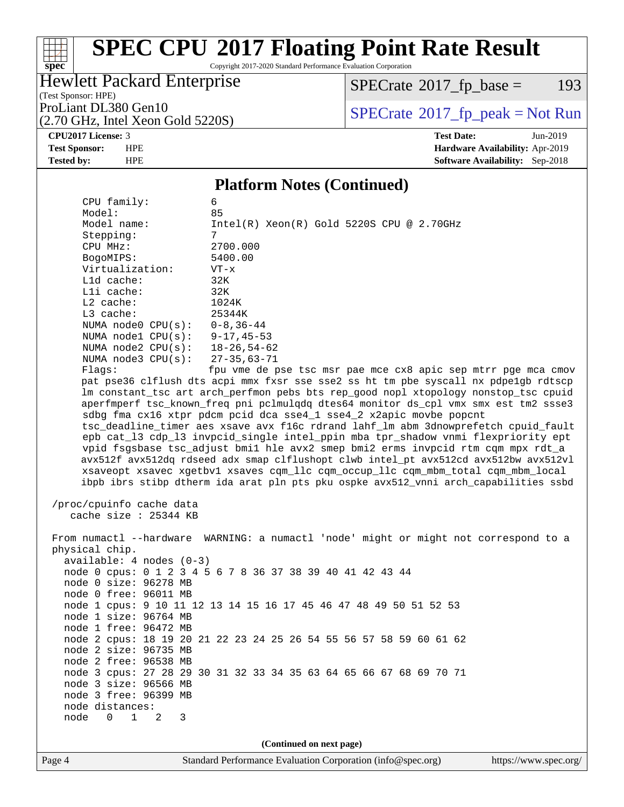Copyright 2017-2020 Standard Performance Evaluation Corporation

### Hewlett Packard Enterprise

 $SPECTate@2017_fp\_base = 193$ 

(Test Sponsor: HPE) (2.70 GHz, Intel Xeon Gold 5220S)

ProLiant DL380 Gen10<br>(2.70 GHz, Intel Xeon Gold 52208) [SPECrate](http://www.spec.org/auto/cpu2017/Docs/result-fields.html#SPECrate2017fppeak)®[2017\\_fp\\_peak = N](http://www.spec.org/auto/cpu2017/Docs/result-fields.html#SPECrate2017fppeak)ot Run

#### **[CPU2017 License:](http://www.spec.org/auto/cpu2017/Docs/result-fields.html#CPU2017License)** 3 **[Test Date:](http://www.spec.org/auto/cpu2017/Docs/result-fields.html#TestDate)** Jun-2019

**[spec](http://www.spec.org/)**

 $\begin{matrix} & \ + \ + \end{matrix}$ 

#### **[Test Sponsor:](http://www.spec.org/auto/cpu2017/Docs/result-fields.html#TestSponsor)** HPE **[Hardware Availability:](http://www.spec.org/auto/cpu2017/Docs/result-fields.html#HardwareAvailability)** Apr-2019 **[Tested by:](http://www.spec.org/auto/cpu2017/Docs/result-fields.html#Testedby)** HPE **[Software Availability:](http://www.spec.org/auto/cpu2017/Docs/result-fields.html#SoftwareAvailability)** Sep-2018

#### **[Platform Notes \(Continued\)](http://www.spec.org/auto/cpu2017/Docs/result-fields.html#PlatformNotes)**

| NUMA $node3$ $CPU(s)$ :<br>Flags:                       | 27-35,63-71<br>fpu vme de pse tsc msr pae mce cx8 apic sep mtrr pge mca cmov         |                       |
|---------------------------------------------------------|--------------------------------------------------------------------------------------|-----------------------|
|                                                         | pat pse36 clflush dts acpi mmx fxsr sse sse2 ss ht tm pbe syscall nx pdpelgb rdtscp  |                       |
|                                                         | lm constant_tsc art arch_perfmon pebs bts rep_good nopl xtopology nonstop_tsc cpuid  |                       |
|                                                         | aperfmperf tsc_known_freq pni pclmulqdq dtes64 monitor ds_cpl vmx smx est tm2 ssse3  |                       |
|                                                         | sdbg fma cx16 xtpr pdcm pcid dca sse4_1 sse4_2 x2apic movbe popcnt                   |                       |
|                                                         | tsc_deadline_timer aes xsave avx f16c rdrand lahf_lm abm 3dnowprefetch cpuid_fault   |                       |
|                                                         | epb cat_13 cdp_13 invpcid_single intel_ppin mba tpr_shadow vnmi flexpriority ept     |                       |
|                                                         | vpid fsgsbase tsc_adjust bmil hle avx2 smep bmi2 erms invpcid rtm cqm mpx rdt_a      |                       |
|                                                         | avx512f avx512dq rdseed adx smap clflushopt clwb intel_pt avx512cd avx512bw avx512vl |                       |
|                                                         | xsaveopt xsavec xgetbvl xsaves cqm_llc cqm_occup_llc cqm_mbm_total cqm_mbm_local     |                       |
|                                                         | ibpb ibrs stibp dtherm ida arat pln pts pku ospke avx512_vnni arch_capabilities ssbd |                       |
|                                                         |                                                                                      |                       |
| /proc/cpuinfo cache data                                |                                                                                      |                       |
| cache size : 25344 KB                                   |                                                                                      |                       |
|                                                         |                                                                                      |                       |
|                                                         | From numactl --hardware WARNING: a numactl 'node' might or might not correspond to a |                       |
| physical chip.                                          |                                                                                      |                       |
| $available: 4 nodes (0-3)$                              |                                                                                      |                       |
|                                                         | node 0 cpus: 0 1 2 3 4 5 6 7 8 36 37 38 39 40 41 42 43 44                            |                       |
| node 0 size: 96278 MB                                   |                                                                                      |                       |
| node 0 free: 96011 MB                                   |                                                                                      |                       |
|                                                         | node 1 cpus: 9 10 11 12 13 14 15 16 17 45 46 47 48 49 50 51 52 53                    |                       |
| node 1 size: 96764 MB                                   |                                                                                      |                       |
| node 1 free: 96472 MB                                   |                                                                                      |                       |
|                                                         | node 2 cpus: 18 19 20 21 22 23 24 25 26 54 55 56 57 58 59 60 61 62                   |                       |
| node 2 size: 96735 MB                                   |                                                                                      |                       |
| node 2 free: 96538 MB                                   |                                                                                      |                       |
|                                                         | node 3 cpus: 27 28 29 30 31 32 33 34 35 63 64 65 66 67 68 69 70 71                   |                       |
| node 3 size: 96566 MB                                   |                                                                                      |                       |
| node 3 free: 96399 MB                                   |                                                                                      |                       |
| node distances:                                         |                                                                                      |                       |
| $\Omega$<br>$\mathbf{1}$<br>$\overline{a}$<br>node<br>3 |                                                                                      |                       |
|                                                         |                                                                                      |                       |
|                                                         | (Continued on next page)                                                             |                       |
| Page 4                                                  | Standard Performance Evaluation Corporation (info@spec.org)                          | https://www.spec.org/ |
|                                                         |                                                                                      |                       |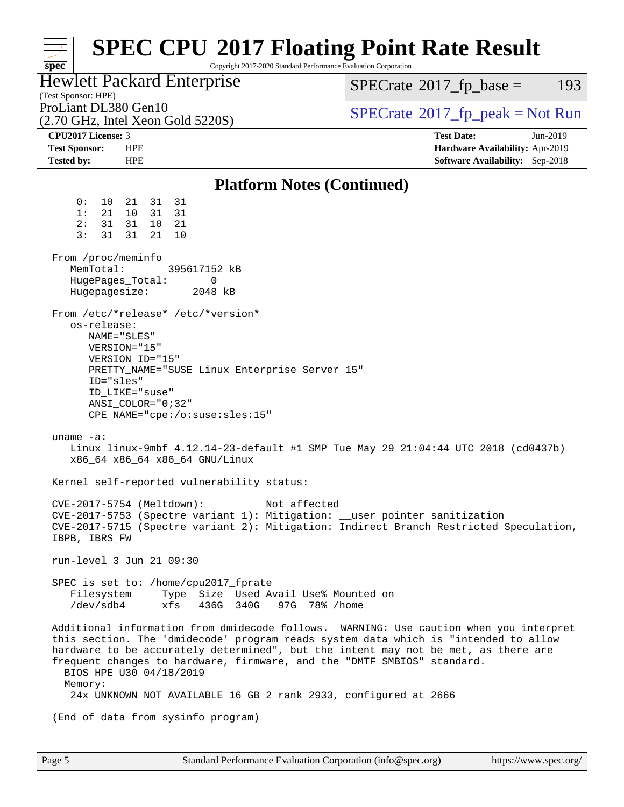| <b>SPEC CPU®2017 Floating Point Rate Result</b><br>Copyright 2017-2020 Standard Performance Evaluation Corporation<br>$spec^*$                                                                                                                                                                                                                                                       |                                                                                                            |  |  |  |  |  |
|--------------------------------------------------------------------------------------------------------------------------------------------------------------------------------------------------------------------------------------------------------------------------------------------------------------------------------------------------------------------------------------|------------------------------------------------------------------------------------------------------------|--|--|--|--|--|
| Hewlett Packard Enterprise<br>(Test Sponsor: HPE)                                                                                                                                                                                                                                                                                                                                    | $SPECTate$ <sup>®</sup> 2017_fp_base =<br>193                                                              |  |  |  |  |  |
| ProLiant DL380 Gen10<br>$(2.70 \text{ GHz}, \text{Intel Xeon Gold } 5220\text{S})$                                                                                                                                                                                                                                                                                                   | $SPECrate^{\circ}2017$ [p_peak = Not Run                                                                   |  |  |  |  |  |
| CPU2017 License: 3<br><b>Test Sponsor:</b><br><b>HPE</b><br><b>HPE</b><br><b>Tested by:</b>                                                                                                                                                                                                                                                                                          | <b>Test Date:</b><br>Jun-2019<br>Hardware Availability: Apr-2019<br><b>Software Availability:</b> Sep-2018 |  |  |  |  |  |
| <b>Platform Notes (Continued)</b>                                                                                                                                                                                                                                                                                                                                                    |                                                                                                            |  |  |  |  |  |
| 31<br>31<br>0:<br>10<br>21<br>10 <sup>°</sup><br>31<br>31<br>1:<br>21<br>31<br>31<br>21<br>2 :<br>10<br>3:<br>31<br>21<br>31<br>10<br>From /proc/meminfo<br>MemTotal:<br>395617152 kB<br>0                                                                                                                                                                                           |                                                                                                            |  |  |  |  |  |
| HugePages_Total:<br>2048 kB<br>Hugepagesize:                                                                                                                                                                                                                                                                                                                                         |                                                                                                            |  |  |  |  |  |
| From /etc/*release* /etc/*version*<br>os-release:<br>NAME="SLES"<br>VERSION="15"<br>VERSION_ID="15"<br>PRETTY_NAME="SUSE Linux Enterprise Server 15"<br>ID="sles"<br>ID_LIKE="suse"<br>$ANSI$ _COLOR="0;32"<br>$CPE\_NAME='cpe://o:suse: sles:15"$                                                                                                                                   |                                                                                                            |  |  |  |  |  |
| uname $-a$ :<br>Linux linux-9mbf 4.12.14-23-default #1 SMP Tue May 29 21:04:44 UTC 2018 (cd0437b)<br>x86_64 x86_64 x86_64 GNU/Linux                                                                                                                                                                                                                                                  |                                                                                                            |  |  |  |  |  |
| Kernel self-reported vulnerability status:                                                                                                                                                                                                                                                                                                                                           |                                                                                                            |  |  |  |  |  |
| CVE-2017-5754 (Meltdown):<br>Not affected<br>CVE-2017-5753 (Spectre variant 1): Mitigation: __user pointer sanitization<br>CVE-2017-5715 (Spectre variant 2): Mitigation: Indirect Branch Restricted Speculation,<br>IBPB, IBRS_FW                                                                                                                                                   |                                                                                                            |  |  |  |  |  |
| run-level 3 Jun 21 09:30                                                                                                                                                                                                                                                                                                                                                             |                                                                                                            |  |  |  |  |  |
| SPEC is set to: /home/cpu2017_fprate<br>Filesystem Type Size Used Avail Use% Mounted on<br>xfs 436G 340G 97G 78% / home<br>/dev/sdb4                                                                                                                                                                                                                                                 |                                                                                                            |  |  |  |  |  |
| Additional information from dmidecode follows. WARNING: Use caution when you interpret<br>this section. The 'dmidecode' program reads system data which is "intended to allow<br>hardware to be accurately determined", but the intent may not be met, as there are<br>frequent changes to hardware, firmware, and the "DMTF SMBIOS" standard.<br>BIOS HPE U30 04/18/2019<br>Memory: |                                                                                                            |  |  |  |  |  |
| 24x UNKNOWN NOT AVAILABLE 16 GB 2 rank 2933, configured at 2666                                                                                                                                                                                                                                                                                                                      |                                                                                                            |  |  |  |  |  |
| (End of data from sysinfo program)                                                                                                                                                                                                                                                                                                                                                   |                                                                                                            |  |  |  |  |  |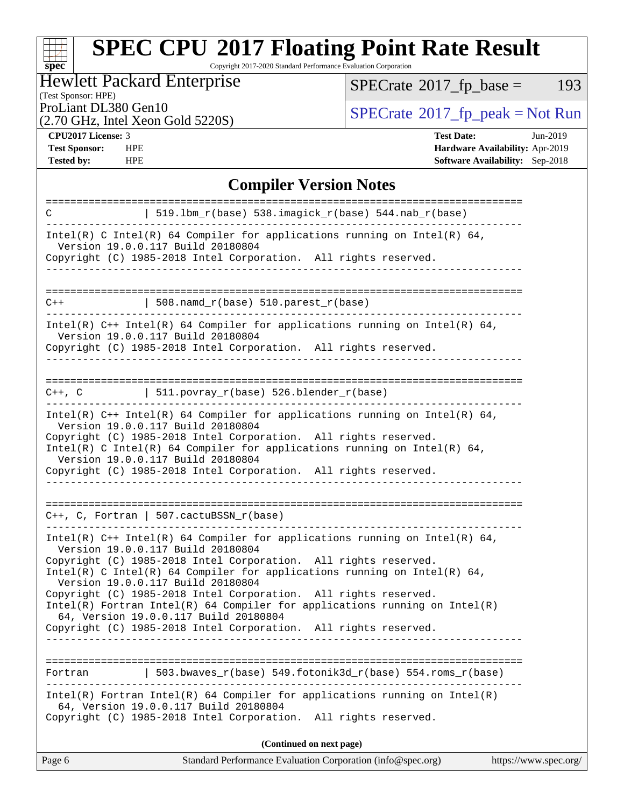Copyright 2017-2020 Standard Performance Evaluation Corporation

### Hewlett Packard Enterprise

 $SPECTate@2017_fp\_base = 193$ 

#### (Test Sponsor: HPE)

(2.70 GHz, Intel Xeon Gold 5220S)

ProLiant DL380 Gen10<br>(2.70 GHz, Intel Xeon Gold 52208) [SPECrate](http://www.spec.org/auto/cpu2017/Docs/result-fields.html#SPECrate2017fppeak)®[2017\\_fp\\_peak = N](http://www.spec.org/auto/cpu2017/Docs/result-fields.html#SPECrate2017fppeak)ot Run

**[spec](http://www.spec.org/)**

H F

**[Tested by:](http://www.spec.org/auto/cpu2017/Docs/result-fields.html#Testedby)** HPE **[Software Availability:](http://www.spec.org/auto/cpu2017/Docs/result-fields.html#SoftwareAvailability)** Sep-2018

**[CPU2017 License:](http://www.spec.org/auto/cpu2017/Docs/result-fields.html#CPU2017License)** 3 **[Test Date:](http://www.spec.org/auto/cpu2017/Docs/result-fields.html#TestDate)** Jun-2019 **[Test Sponsor:](http://www.spec.org/auto/cpu2017/Docs/result-fields.html#TestSponsor)** HPE **[Hardware Availability:](http://www.spec.org/auto/cpu2017/Docs/result-fields.html#HardwareAvailability)** Apr-2019

#### **[Compiler Version Notes](http://www.spec.org/auto/cpu2017/Docs/result-fields.html#CompilerVersionNotes)**

| C       | $519.1$ bm_r(base) 538.imagick_r(base) 544.nab_r(base)                                                                                                                                                                                                                                                                                                                                                                                                                                                                                                               |
|---------|----------------------------------------------------------------------------------------------------------------------------------------------------------------------------------------------------------------------------------------------------------------------------------------------------------------------------------------------------------------------------------------------------------------------------------------------------------------------------------------------------------------------------------------------------------------------|
|         | Intel(R) C Intel(R) 64 Compiler for applications running on Intel(R) 64,<br>Version 19.0.0.117 Build 20180804<br>Copyright (C) 1985-2018 Intel Corporation. All rights reserved.                                                                                                                                                                                                                                                                                                                                                                                     |
|         |                                                                                                                                                                                                                                                                                                                                                                                                                                                                                                                                                                      |
| $C++$   | 508.namd_r(base) 510.parest_r(base)                                                                                                                                                                                                                                                                                                                                                                                                                                                                                                                                  |
|         | Intel(R) $C++$ Intel(R) 64 Compiler for applications running on Intel(R) 64,<br>Version 19.0.0.117 Build 20180804<br>Copyright (C) 1985-2018 Intel Corporation. All rights reserved.<br>___________________                                                                                                                                                                                                                                                                                                                                                          |
|         | $C++$ , C $\qquad \qquad$ 511.povray_r(base) 526.blender_r(base)                                                                                                                                                                                                                                                                                                                                                                                                                                                                                                     |
|         | Intel(R) $C++$ Intel(R) 64 Compiler for applications running on Intel(R) 64,<br>Version 19.0.0.117 Build 20180804<br>Copyright (C) 1985-2018 Intel Corporation. All rights reserved.<br>Intel(R) C Intel(R) 64 Compiler for applications running on Intel(R) 64,<br>Version 19.0.0.117 Build 20180804<br>Copyright (C) 1985-2018 Intel Corporation. All rights reserved.<br>-------------------------------                                                                                                                                                          |
|         | $C_{++}$ , C, Fortran   507.cactuBSSN_r(base)                                                                                                                                                                                                                                                                                                                                                                                                                                                                                                                        |
|         | Intel(R) $C++$ Intel(R) 64 Compiler for applications running on Intel(R) 64,<br>Version 19.0.0.117 Build 20180804<br>Copyright (C) 1985-2018 Intel Corporation. All rights reserved.<br>Intel(R) C Intel(R) 64 Compiler for applications running on Intel(R) 64,<br>Version 19.0.0.117 Build 20180804<br>Copyright (C) 1985-2018 Intel Corporation. All rights reserved.<br>$Intel(R)$ Fortran Intel(R) 64 Compiler for applications running on Intel(R)<br>64, Version 19.0.0.117 Build 20180804<br>Copyright (C) 1985-2018 Intel Corporation. All rights reserved. |
|         |                                                                                                                                                                                                                                                                                                                                                                                                                                                                                                                                                                      |
| Fortran | 503.bwaves $r(base)$ 549.fotonik3d $r(base)$ 554.roms $r(base)$                                                                                                                                                                                                                                                                                                                                                                                                                                                                                                      |
|         | Intel(R) Fortran Intel(R) 64 Compiler for applications running on Intel(R)<br>64, Version 19.0.0.117 Build 20180804<br>Copyright (C) 1985-2018 Intel Corporation. All rights reserved.                                                                                                                                                                                                                                                                                                                                                                               |
|         | (Continued on next page)                                                                                                                                                                                                                                                                                                                                                                                                                                                                                                                                             |
| Page 6  | Standard Performance Evaluation Corporation (info@spec.org)<br>https://www.spec.org/                                                                                                                                                                                                                                                                                                                                                                                                                                                                                 |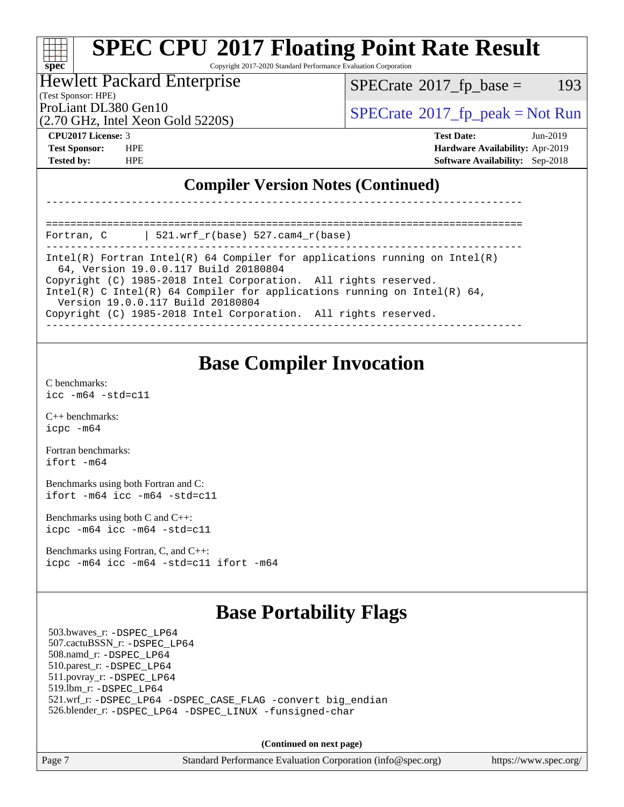Copyright 2017-2020 Standard Performance Evaluation Corporation

#### Hewlett Packard Enterprise

(Test Sponsor: HPE)

 $SPECTate@2017_fp\_base = 193$ 

(2.70 GHz, Intel Xeon Gold 5220S)

ProLiant DL380 Gen10  $SPECTA 5220S$   $SCHA 5220S$   $SCHB 5220S$ 

**[spec](http://www.spec.org/)**

a tim

**[CPU2017 License:](http://www.spec.org/auto/cpu2017/Docs/result-fields.html#CPU2017License)** 3 **[Test Date:](http://www.spec.org/auto/cpu2017/Docs/result-fields.html#TestDate)** Jun-2019 **[Test Sponsor:](http://www.spec.org/auto/cpu2017/Docs/result-fields.html#TestSponsor)** HPE **[Hardware Availability:](http://www.spec.org/auto/cpu2017/Docs/result-fields.html#HardwareAvailability)** Apr-2019 **[Tested by:](http://www.spec.org/auto/cpu2017/Docs/result-fields.html#Testedby)** HPE **[Software Availability:](http://www.spec.org/auto/cpu2017/Docs/result-fields.html#SoftwareAvailability)** Sep-2018

### **[Compiler Version Notes \(Continued\)](http://www.spec.org/auto/cpu2017/Docs/result-fields.html#CompilerVersionNotes)**

============================================================================== Fortran, C | 521.wrf\_r(base) 527.cam4\_r(base)

------------------------------------------------------------------------------ Intel(R) Fortran Intel(R) 64 Compiler for applications running on Intel(R) 64, Version 19.0.0.117 Build 20180804 Copyright (C) 1985-2018 Intel Corporation. All rights reserved. Intel(R) C Intel(R) 64 Compiler for applications running on Intel(R) 64,

------------------------------------------------------------------------------

 Version 19.0.0.117 Build 20180804 Copyright (C) 1985-2018 Intel Corporation. All rights reserved.

------------------------------------------------------------------------------

### **[Base Compiler Invocation](http://www.spec.org/auto/cpu2017/Docs/result-fields.html#BaseCompilerInvocation)**

[C benchmarks](http://www.spec.org/auto/cpu2017/Docs/result-fields.html#Cbenchmarks): [icc -m64 -std=c11](http://www.spec.org/cpu2017/results/res2019q3/cpu2017-20190723-16388.flags.html#user_CCbase_intel_icc_64bit_c11_33ee0cdaae7deeeab2a9725423ba97205ce30f63b9926c2519791662299b76a0318f32ddfffdc46587804de3178b4f9328c46fa7c2b0cd779d7a61945c91cd35)

[C++ benchmarks:](http://www.spec.org/auto/cpu2017/Docs/result-fields.html#CXXbenchmarks) [icpc -m64](http://www.spec.org/cpu2017/results/res2019q3/cpu2017-20190723-16388.flags.html#user_CXXbase_intel_icpc_64bit_4ecb2543ae3f1412ef961e0650ca070fec7b7afdcd6ed48761b84423119d1bf6bdf5cad15b44d48e7256388bc77273b966e5eb805aefd121eb22e9299b2ec9d9)

[Fortran benchmarks](http://www.spec.org/auto/cpu2017/Docs/result-fields.html#Fortranbenchmarks): [ifort -m64](http://www.spec.org/cpu2017/results/res2019q3/cpu2017-20190723-16388.flags.html#user_FCbase_intel_ifort_64bit_24f2bb282fbaeffd6157abe4f878425411749daecae9a33200eee2bee2fe76f3b89351d69a8130dd5949958ce389cf37ff59a95e7a40d588e8d3a57e0c3fd751)

[Benchmarks using both Fortran and C](http://www.spec.org/auto/cpu2017/Docs/result-fields.html#BenchmarksusingbothFortranandC): [ifort -m64](http://www.spec.org/cpu2017/results/res2019q3/cpu2017-20190723-16388.flags.html#user_CC_FCbase_intel_ifort_64bit_24f2bb282fbaeffd6157abe4f878425411749daecae9a33200eee2bee2fe76f3b89351d69a8130dd5949958ce389cf37ff59a95e7a40d588e8d3a57e0c3fd751) [icc -m64 -std=c11](http://www.spec.org/cpu2017/results/res2019q3/cpu2017-20190723-16388.flags.html#user_CC_FCbase_intel_icc_64bit_c11_33ee0cdaae7deeeab2a9725423ba97205ce30f63b9926c2519791662299b76a0318f32ddfffdc46587804de3178b4f9328c46fa7c2b0cd779d7a61945c91cd35)

[Benchmarks using both C and C++](http://www.spec.org/auto/cpu2017/Docs/result-fields.html#BenchmarksusingbothCandCXX): [icpc -m64](http://www.spec.org/cpu2017/results/res2019q3/cpu2017-20190723-16388.flags.html#user_CC_CXXbase_intel_icpc_64bit_4ecb2543ae3f1412ef961e0650ca070fec7b7afdcd6ed48761b84423119d1bf6bdf5cad15b44d48e7256388bc77273b966e5eb805aefd121eb22e9299b2ec9d9) [icc -m64 -std=c11](http://www.spec.org/cpu2017/results/res2019q3/cpu2017-20190723-16388.flags.html#user_CC_CXXbase_intel_icc_64bit_c11_33ee0cdaae7deeeab2a9725423ba97205ce30f63b9926c2519791662299b76a0318f32ddfffdc46587804de3178b4f9328c46fa7c2b0cd779d7a61945c91cd35)

[Benchmarks using Fortran, C, and C++:](http://www.spec.org/auto/cpu2017/Docs/result-fields.html#BenchmarksusingFortranCandCXX) [icpc -m64](http://www.spec.org/cpu2017/results/res2019q3/cpu2017-20190723-16388.flags.html#user_CC_CXX_FCbase_intel_icpc_64bit_4ecb2543ae3f1412ef961e0650ca070fec7b7afdcd6ed48761b84423119d1bf6bdf5cad15b44d48e7256388bc77273b966e5eb805aefd121eb22e9299b2ec9d9) [icc -m64 -std=c11](http://www.spec.org/cpu2017/results/res2019q3/cpu2017-20190723-16388.flags.html#user_CC_CXX_FCbase_intel_icc_64bit_c11_33ee0cdaae7deeeab2a9725423ba97205ce30f63b9926c2519791662299b76a0318f32ddfffdc46587804de3178b4f9328c46fa7c2b0cd779d7a61945c91cd35) [ifort -m64](http://www.spec.org/cpu2017/results/res2019q3/cpu2017-20190723-16388.flags.html#user_CC_CXX_FCbase_intel_ifort_64bit_24f2bb282fbaeffd6157abe4f878425411749daecae9a33200eee2bee2fe76f3b89351d69a8130dd5949958ce389cf37ff59a95e7a40d588e8d3a57e0c3fd751)

## **[Base Portability Flags](http://www.spec.org/auto/cpu2017/Docs/result-fields.html#BasePortabilityFlags)**

 503.bwaves\_r: [-DSPEC\\_LP64](http://www.spec.org/cpu2017/results/res2019q3/cpu2017-20190723-16388.flags.html#suite_basePORTABILITY503_bwaves_r_DSPEC_LP64) 507.cactuBSSN\_r: [-DSPEC\\_LP64](http://www.spec.org/cpu2017/results/res2019q3/cpu2017-20190723-16388.flags.html#suite_basePORTABILITY507_cactuBSSN_r_DSPEC_LP64) 508.namd\_r: [-DSPEC\\_LP64](http://www.spec.org/cpu2017/results/res2019q3/cpu2017-20190723-16388.flags.html#suite_basePORTABILITY508_namd_r_DSPEC_LP64) 510.parest\_r: [-DSPEC\\_LP64](http://www.spec.org/cpu2017/results/res2019q3/cpu2017-20190723-16388.flags.html#suite_basePORTABILITY510_parest_r_DSPEC_LP64) 511.povray\_r: [-DSPEC\\_LP64](http://www.spec.org/cpu2017/results/res2019q3/cpu2017-20190723-16388.flags.html#suite_basePORTABILITY511_povray_r_DSPEC_LP64) 519.lbm\_r: [-DSPEC\\_LP64](http://www.spec.org/cpu2017/results/res2019q3/cpu2017-20190723-16388.flags.html#suite_basePORTABILITY519_lbm_r_DSPEC_LP64) 521.wrf\_r: [-DSPEC\\_LP64](http://www.spec.org/cpu2017/results/res2019q3/cpu2017-20190723-16388.flags.html#suite_basePORTABILITY521_wrf_r_DSPEC_LP64) [-DSPEC\\_CASE\\_FLAG](http://www.spec.org/cpu2017/results/res2019q3/cpu2017-20190723-16388.flags.html#b521.wrf_r_baseCPORTABILITY_DSPEC_CASE_FLAG) [-convert big\\_endian](http://www.spec.org/cpu2017/results/res2019q3/cpu2017-20190723-16388.flags.html#user_baseFPORTABILITY521_wrf_r_convert_big_endian_c3194028bc08c63ac5d04de18c48ce6d347e4e562e8892b8bdbdc0214820426deb8554edfa529a3fb25a586e65a3d812c835984020483e7e73212c4d31a38223) 526.blender\_r: [-DSPEC\\_LP64](http://www.spec.org/cpu2017/results/res2019q3/cpu2017-20190723-16388.flags.html#suite_basePORTABILITY526_blender_r_DSPEC_LP64) [-DSPEC\\_LINUX](http://www.spec.org/cpu2017/results/res2019q3/cpu2017-20190723-16388.flags.html#b526.blender_r_baseCPORTABILITY_DSPEC_LINUX) [-funsigned-char](http://www.spec.org/cpu2017/results/res2019q3/cpu2017-20190723-16388.flags.html#user_baseCPORTABILITY526_blender_r_force_uchar_40c60f00ab013830e2dd6774aeded3ff59883ba5a1fc5fc14077f794d777847726e2a5858cbc7672e36e1b067e7e5c1d9a74f7176df07886a243d7cc18edfe67)

**(Continued on next page)**

Page 7 Standard Performance Evaluation Corporation [\(info@spec.org\)](mailto:info@spec.org) <https://www.spec.org/>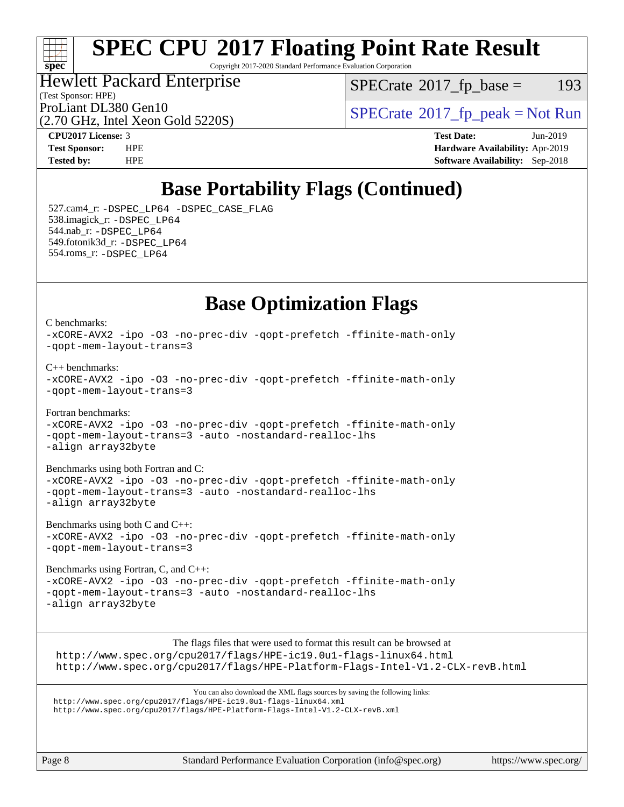

Copyright 2017-2020 Standard Performance Evaluation Corporation

(Test Sponsor: HPE) Hewlett Packard Enterprise

(2.70 GHz, Intel Xeon Gold 5220S)

 $SPECTate@2017_fp\_base = 193$ 

ProLiant DL380 Gen10  $SPECrate^{\circ}2017$  $SPECrate^{\circ}2017$  fp\_peak = Not Run

**[CPU2017 License:](http://www.spec.org/auto/cpu2017/Docs/result-fields.html#CPU2017License)** 3 **[Test Date:](http://www.spec.org/auto/cpu2017/Docs/result-fields.html#TestDate)** Jun-2019 **[Test Sponsor:](http://www.spec.org/auto/cpu2017/Docs/result-fields.html#TestSponsor)** HPE **[Hardware Availability:](http://www.spec.org/auto/cpu2017/Docs/result-fields.html#HardwareAvailability)** Apr-2019 **[Tested by:](http://www.spec.org/auto/cpu2017/Docs/result-fields.html#Testedby)** HPE **[Software Availability:](http://www.spec.org/auto/cpu2017/Docs/result-fields.html#SoftwareAvailability)** Sep-2018

## **[Base Portability Flags \(Continued\)](http://www.spec.org/auto/cpu2017/Docs/result-fields.html#BasePortabilityFlags)**

 527.cam4\_r: [-DSPEC\\_LP64](http://www.spec.org/cpu2017/results/res2019q3/cpu2017-20190723-16388.flags.html#suite_basePORTABILITY527_cam4_r_DSPEC_LP64) [-DSPEC\\_CASE\\_FLAG](http://www.spec.org/cpu2017/results/res2019q3/cpu2017-20190723-16388.flags.html#b527.cam4_r_baseCPORTABILITY_DSPEC_CASE_FLAG) 538.imagick\_r: [-DSPEC\\_LP64](http://www.spec.org/cpu2017/results/res2019q3/cpu2017-20190723-16388.flags.html#suite_basePORTABILITY538_imagick_r_DSPEC_LP64) 544.nab\_r: [-DSPEC\\_LP64](http://www.spec.org/cpu2017/results/res2019q3/cpu2017-20190723-16388.flags.html#suite_basePORTABILITY544_nab_r_DSPEC_LP64) 549.fotonik3d\_r: [-DSPEC\\_LP64](http://www.spec.org/cpu2017/results/res2019q3/cpu2017-20190723-16388.flags.html#suite_basePORTABILITY549_fotonik3d_r_DSPEC_LP64) 554.roms\_r: [-DSPEC\\_LP64](http://www.spec.org/cpu2017/results/res2019q3/cpu2017-20190723-16388.flags.html#suite_basePORTABILITY554_roms_r_DSPEC_LP64)

### **[Base Optimization Flags](http://www.spec.org/auto/cpu2017/Docs/result-fields.html#BaseOptimizationFlags)**

[C benchmarks](http://www.spec.org/auto/cpu2017/Docs/result-fields.html#Cbenchmarks): [-xCORE-AVX2](http://www.spec.org/cpu2017/results/res2019q3/cpu2017-20190723-16388.flags.html#user_CCbase_f-xCORE-AVX2) [-ipo](http://www.spec.org/cpu2017/results/res2019q3/cpu2017-20190723-16388.flags.html#user_CCbase_f-ipo) [-O3](http://www.spec.org/cpu2017/results/res2019q3/cpu2017-20190723-16388.flags.html#user_CCbase_f-O3) [-no-prec-div](http://www.spec.org/cpu2017/results/res2019q3/cpu2017-20190723-16388.flags.html#user_CCbase_f-no-prec-div) [-qopt-prefetch](http://www.spec.org/cpu2017/results/res2019q3/cpu2017-20190723-16388.flags.html#user_CCbase_f-qopt-prefetch) [-ffinite-math-only](http://www.spec.org/cpu2017/results/res2019q3/cpu2017-20190723-16388.flags.html#user_CCbase_f_finite_math_only_cb91587bd2077682c4b38af759c288ed7c732db004271a9512da14a4f8007909a5f1427ecbf1a0fb78ff2a814402c6114ac565ca162485bbcae155b5e4258871) [-qopt-mem-layout-trans=3](http://www.spec.org/cpu2017/results/res2019q3/cpu2017-20190723-16388.flags.html#user_CCbase_f-qopt-mem-layout-trans) [C++ benchmarks:](http://www.spec.org/auto/cpu2017/Docs/result-fields.html#CXXbenchmarks) [-xCORE-AVX2](http://www.spec.org/cpu2017/results/res2019q3/cpu2017-20190723-16388.flags.html#user_CXXbase_f-xCORE-AVX2) [-ipo](http://www.spec.org/cpu2017/results/res2019q3/cpu2017-20190723-16388.flags.html#user_CXXbase_f-ipo) [-O3](http://www.spec.org/cpu2017/results/res2019q3/cpu2017-20190723-16388.flags.html#user_CXXbase_f-O3) [-no-prec-div](http://www.spec.org/cpu2017/results/res2019q3/cpu2017-20190723-16388.flags.html#user_CXXbase_f-no-prec-div) [-qopt-prefetch](http://www.spec.org/cpu2017/results/res2019q3/cpu2017-20190723-16388.flags.html#user_CXXbase_f-qopt-prefetch) [-ffinite-math-only](http://www.spec.org/cpu2017/results/res2019q3/cpu2017-20190723-16388.flags.html#user_CXXbase_f_finite_math_only_cb91587bd2077682c4b38af759c288ed7c732db004271a9512da14a4f8007909a5f1427ecbf1a0fb78ff2a814402c6114ac565ca162485bbcae155b5e4258871) [-qopt-mem-layout-trans=3](http://www.spec.org/cpu2017/results/res2019q3/cpu2017-20190723-16388.flags.html#user_CXXbase_f-qopt-mem-layout-trans) [Fortran benchmarks](http://www.spec.org/auto/cpu2017/Docs/result-fields.html#Fortranbenchmarks): [-xCORE-AVX2](http://www.spec.org/cpu2017/results/res2019q3/cpu2017-20190723-16388.flags.html#user_FCbase_f-xCORE-AVX2) [-ipo](http://www.spec.org/cpu2017/results/res2019q3/cpu2017-20190723-16388.flags.html#user_FCbase_f-ipo) [-O3](http://www.spec.org/cpu2017/results/res2019q3/cpu2017-20190723-16388.flags.html#user_FCbase_f-O3) [-no-prec-div](http://www.spec.org/cpu2017/results/res2019q3/cpu2017-20190723-16388.flags.html#user_FCbase_f-no-prec-div) [-qopt-prefetch](http://www.spec.org/cpu2017/results/res2019q3/cpu2017-20190723-16388.flags.html#user_FCbase_f-qopt-prefetch) [-ffinite-math-only](http://www.spec.org/cpu2017/results/res2019q3/cpu2017-20190723-16388.flags.html#user_FCbase_f_finite_math_only_cb91587bd2077682c4b38af759c288ed7c732db004271a9512da14a4f8007909a5f1427ecbf1a0fb78ff2a814402c6114ac565ca162485bbcae155b5e4258871) [-qopt-mem-layout-trans=3](http://www.spec.org/cpu2017/results/res2019q3/cpu2017-20190723-16388.flags.html#user_FCbase_f-qopt-mem-layout-trans) [-auto](http://www.spec.org/cpu2017/results/res2019q3/cpu2017-20190723-16388.flags.html#user_FCbase_f-auto) [-nostandard-realloc-lhs](http://www.spec.org/cpu2017/results/res2019q3/cpu2017-20190723-16388.flags.html#user_FCbase_f_2003_std_realloc_82b4557e90729c0f113870c07e44d33d6f5a304b4f63d4c15d2d0f1fab99f5daaed73bdb9275d9ae411527f28b936061aa8b9c8f2d63842963b95c9dd6426b8a) [-align array32byte](http://www.spec.org/cpu2017/results/res2019q3/cpu2017-20190723-16388.flags.html#user_FCbase_align_array32byte_b982fe038af199962ba9a80c053b8342c548c85b40b8e86eb3cc33dee0d7986a4af373ac2d51c3f7cf710a18d62fdce2948f201cd044323541f22fc0fffc51b6) [Benchmarks using both Fortran and C](http://www.spec.org/auto/cpu2017/Docs/result-fields.html#BenchmarksusingbothFortranandC): [-xCORE-AVX2](http://www.spec.org/cpu2017/results/res2019q3/cpu2017-20190723-16388.flags.html#user_CC_FCbase_f-xCORE-AVX2) [-ipo](http://www.spec.org/cpu2017/results/res2019q3/cpu2017-20190723-16388.flags.html#user_CC_FCbase_f-ipo) [-O3](http://www.spec.org/cpu2017/results/res2019q3/cpu2017-20190723-16388.flags.html#user_CC_FCbase_f-O3) [-no-prec-div](http://www.spec.org/cpu2017/results/res2019q3/cpu2017-20190723-16388.flags.html#user_CC_FCbase_f-no-prec-div) [-qopt-prefetch](http://www.spec.org/cpu2017/results/res2019q3/cpu2017-20190723-16388.flags.html#user_CC_FCbase_f-qopt-prefetch) [-ffinite-math-only](http://www.spec.org/cpu2017/results/res2019q3/cpu2017-20190723-16388.flags.html#user_CC_FCbase_f_finite_math_only_cb91587bd2077682c4b38af759c288ed7c732db004271a9512da14a4f8007909a5f1427ecbf1a0fb78ff2a814402c6114ac565ca162485bbcae155b5e4258871) [-qopt-mem-layout-trans=3](http://www.spec.org/cpu2017/results/res2019q3/cpu2017-20190723-16388.flags.html#user_CC_FCbase_f-qopt-mem-layout-trans) [-auto](http://www.spec.org/cpu2017/results/res2019q3/cpu2017-20190723-16388.flags.html#user_CC_FCbase_f-auto) [-nostandard-realloc-lhs](http://www.spec.org/cpu2017/results/res2019q3/cpu2017-20190723-16388.flags.html#user_CC_FCbase_f_2003_std_realloc_82b4557e90729c0f113870c07e44d33d6f5a304b4f63d4c15d2d0f1fab99f5daaed73bdb9275d9ae411527f28b936061aa8b9c8f2d63842963b95c9dd6426b8a) [-align array32byte](http://www.spec.org/cpu2017/results/res2019q3/cpu2017-20190723-16388.flags.html#user_CC_FCbase_align_array32byte_b982fe038af199962ba9a80c053b8342c548c85b40b8e86eb3cc33dee0d7986a4af373ac2d51c3f7cf710a18d62fdce2948f201cd044323541f22fc0fffc51b6) [Benchmarks using both C and C++](http://www.spec.org/auto/cpu2017/Docs/result-fields.html#BenchmarksusingbothCandCXX): [-xCORE-AVX2](http://www.spec.org/cpu2017/results/res2019q3/cpu2017-20190723-16388.flags.html#user_CC_CXXbase_f-xCORE-AVX2) [-ipo](http://www.spec.org/cpu2017/results/res2019q3/cpu2017-20190723-16388.flags.html#user_CC_CXXbase_f-ipo) [-O3](http://www.spec.org/cpu2017/results/res2019q3/cpu2017-20190723-16388.flags.html#user_CC_CXXbase_f-O3) [-no-prec-div](http://www.spec.org/cpu2017/results/res2019q3/cpu2017-20190723-16388.flags.html#user_CC_CXXbase_f-no-prec-div) [-qopt-prefetch](http://www.spec.org/cpu2017/results/res2019q3/cpu2017-20190723-16388.flags.html#user_CC_CXXbase_f-qopt-prefetch) [-ffinite-math-only](http://www.spec.org/cpu2017/results/res2019q3/cpu2017-20190723-16388.flags.html#user_CC_CXXbase_f_finite_math_only_cb91587bd2077682c4b38af759c288ed7c732db004271a9512da14a4f8007909a5f1427ecbf1a0fb78ff2a814402c6114ac565ca162485bbcae155b5e4258871) [-qopt-mem-layout-trans=3](http://www.spec.org/cpu2017/results/res2019q3/cpu2017-20190723-16388.flags.html#user_CC_CXXbase_f-qopt-mem-layout-trans)

[Benchmarks using Fortran, C, and C++:](http://www.spec.org/auto/cpu2017/Docs/result-fields.html#BenchmarksusingFortranCandCXX) [-xCORE-AVX2](http://www.spec.org/cpu2017/results/res2019q3/cpu2017-20190723-16388.flags.html#user_CC_CXX_FCbase_f-xCORE-AVX2) [-ipo](http://www.spec.org/cpu2017/results/res2019q3/cpu2017-20190723-16388.flags.html#user_CC_CXX_FCbase_f-ipo) [-O3](http://www.spec.org/cpu2017/results/res2019q3/cpu2017-20190723-16388.flags.html#user_CC_CXX_FCbase_f-O3) [-no-prec-div](http://www.spec.org/cpu2017/results/res2019q3/cpu2017-20190723-16388.flags.html#user_CC_CXX_FCbase_f-no-prec-div) [-qopt-prefetch](http://www.spec.org/cpu2017/results/res2019q3/cpu2017-20190723-16388.flags.html#user_CC_CXX_FCbase_f-qopt-prefetch) [-ffinite-math-only](http://www.spec.org/cpu2017/results/res2019q3/cpu2017-20190723-16388.flags.html#user_CC_CXX_FCbase_f_finite_math_only_cb91587bd2077682c4b38af759c288ed7c732db004271a9512da14a4f8007909a5f1427ecbf1a0fb78ff2a814402c6114ac565ca162485bbcae155b5e4258871) [-qopt-mem-layout-trans=3](http://www.spec.org/cpu2017/results/res2019q3/cpu2017-20190723-16388.flags.html#user_CC_CXX_FCbase_f-qopt-mem-layout-trans) [-auto](http://www.spec.org/cpu2017/results/res2019q3/cpu2017-20190723-16388.flags.html#user_CC_CXX_FCbase_f-auto) [-nostandard-realloc-lhs](http://www.spec.org/cpu2017/results/res2019q3/cpu2017-20190723-16388.flags.html#user_CC_CXX_FCbase_f_2003_std_realloc_82b4557e90729c0f113870c07e44d33d6f5a304b4f63d4c15d2d0f1fab99f5daaed73bdb9275d9ae411527f28b936061aa8b9c8f2d63842963b95c9dd6426b8a) [-align array32byte](http://www.spec.org/cpu2017/results/res2019q3/cpu2017-20190723-16388.flags.html#user_CC_CXX_FCbase_align_array32byte_b982fe038af199962ba9a80c053b8342c548c85b40b8e86eb3cc33dee0d7986a4af373ac2d51c3f7cf710a18d62fdce2948f201cd044323541f22fc0fffc51b6)

[The flags files that were used to format this result can be browsed at](tmsearch) <http://www.spec.org/cpu2017/flags/HPE-ic19.0u1-flags-linux64.html> <http://www.spec.org/cpu2017/flags/HPE-Platform-Flags-Intel-V1.2-CLX-revB.html>

[You can also download the XML flags sources by saving the following links:](tmsearch) <http://www.spec.org/cpu2017/flags/HPE-ic19.0u1-flags-linux64.xml> <http://www.spec.org/cpu2017/flags/HPE-Platform-Flags-Intel-V1.2-CLX-revB.xml>